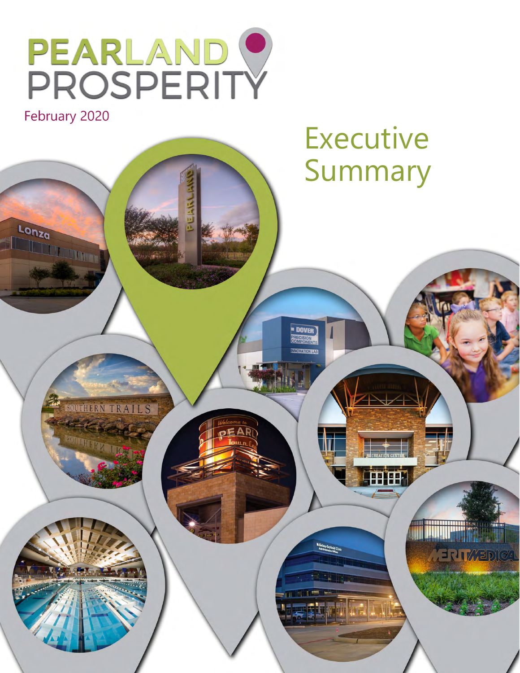

February 2020

Lonza

anza

# Executive Summary

SOUTHERN TRAILS

**THIRD LES** 

**THEF** 

**MERITAREDICAL** 

**DOVER**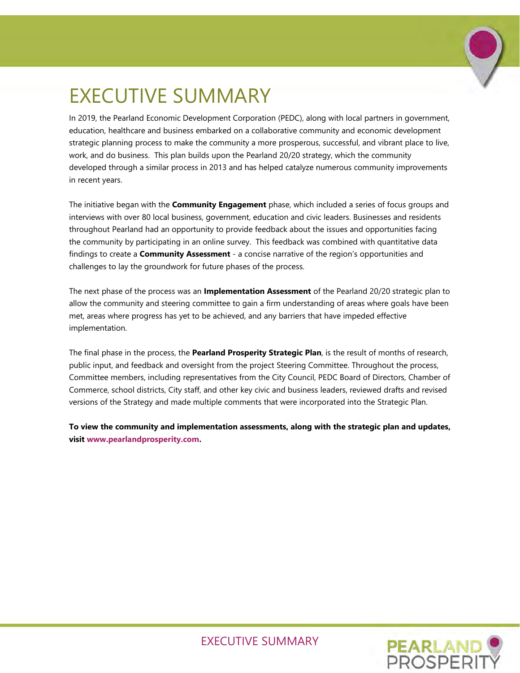

# EXECUTIVE SUMMARY

In 2019, the Pearland Economic Development Corporation (PEDC), along with local partners in government, education, healthcare and business embarked on a collaborative community and economic development strategic planning process to make the community a more prosperous, successful, and vibrant place to live, work, and do business. This plan builds upon the Pearland 20/20 strategy, which the community developed through a similar process in 2013 and has helped catalyze numerous community improvements in recent years.

The initiative began with the **Community Engagement** phase, which included a series of focus groups and interviews with over 80 local business, government, education and civic leaders. Businesses and residents throughout Pearland had an opportunity to provide feedback about the issues and opportunities facing the community by participating in an online survey. This feedback was combined with quantitative data findings to create a **Community Assessment** - a concise narrative of the region's opportunities and challenges to lay the groundwork for future phases of the process.

The next phase of the process was an **Implementation Assessment** of the Pearland 20/20 strategic plan to allow the community and steering committee to gain a firm understanding of areas where goals have been met, areas where progress has yet to be achieved, and any barriers that have impeded effective implementation.

The final phase in the process, the **Pearland Prosperity Strategic Plan**, is the result of months of research, public input, and feedback and oversight from the project Steering Committee. Throughout the process, Committee members, including representatives from the City Council, PEDC Board of Directors, Chamber of Commerce, school districts, City staff, and other key civic and business leaders, reviewed drafts and revised versions of the Strategy and made multiple comments that were incorporated into the Strategic Plan.

**To view the community and implementation assessments, along with the strategic plan and updates, visit www.pearlandprosperity.com.** 

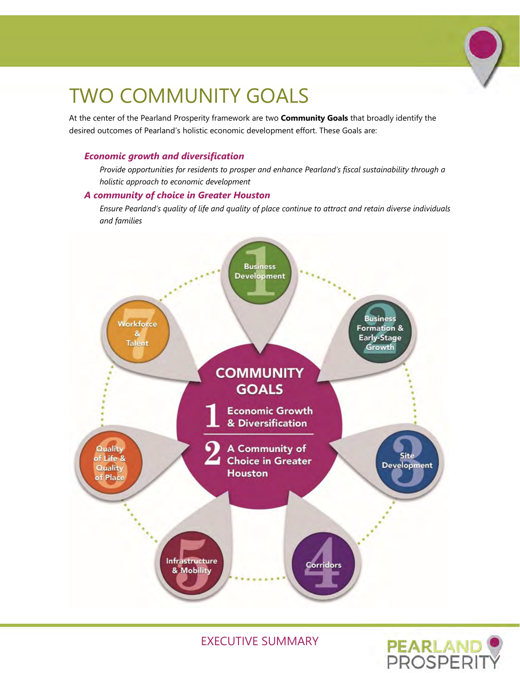

# TWO COMMUNITY GOALS

At the center of the Pearland Prosperity framework are two **Community Goals** that broadly identify the desired outcomes of Pearland's holistic economic development effort. These Goals are:

#### *Economic growth and diversification*

*Provide opportunities for residents to prosper and enhance Pearland's fiscal sustainability through a holistic approach to economic development*

#### *A community of choice in Greater Houston*

*Ensure Pearland's quality of life and quality of place continue to attract and retain diverse individuals and families*



EXECUTIVE SUMMARY

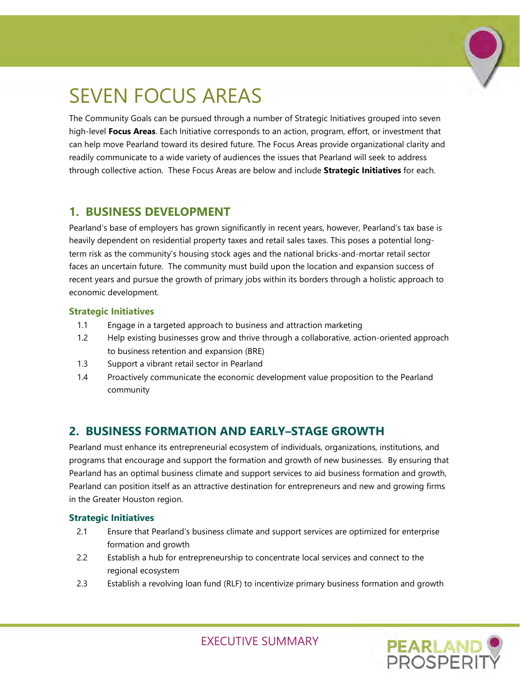

# SEVEN FOCUS AREAS

The Community Goals can be pursued through a number of Strategic Initiatives grouped into seven high-level **Focus Areas**. Each Initiative corresponds to an action, program, effort, or investment that can help move Pearland toward its desired future. The Focus Areas provide organizational clarity and readily communicate to a wide variety of audiences the issues that Pearland will seek to address through collective action. These Focus Areas are below and include **Strategic Initiatives** for each.

# **1. BUSINESS DEVELOPMENT**

Pearland's base of employers has grown significantly in recent years, however, Pearland's tax base is heavily dependent on residential property taxes and retail sales taxes. This poses a potential longterm risk as the community's housing stock ages and the national bricks-and-mortar retail sector faces an uncertain future. The community must build upon the location and expansion success of recent years and pursue the growth of primary jobs within its borders through a holistic approach to economic development.

### **Strategic Initiatives**

- 1.1 Engage in a targeted approach to business and attraction marketing
- 1.2 Help existing businesses grow and thrive through a collaborative, action-oriented approach to business retention and expansion (BRE)
- 1.3 Support a vibrant retail sector in Pearland
- 1.4 Proactively communicate the economic development value proposition to the Pearland community

# **2. BUSINESS FORMATION AND EARLY–STAGE GROWTH**

Pearland must enhance its entrepreneurial ecosystem of individuals, organizations, institutions, and programs that encourage and support the formation and growth of new businesses. By ensuring that Pearland has an optimal business climate and support services to aid business formation and growth, Pearland can position itself as an attractive destination for entrepreneurs and new and growing firms in the Greater Houston region.

### **Strategic Initiatives**

- 2.1 Ensure that Pearland's business climate and support services are optimized for enterprise formation and growth
- 2.2 Establish a hub for entrepreneurship to concentrate local services and connect to the regional ecosystem
- 2.3 Establish a revolving loan fund (RLF) to incentivize primary business formation and growth

**PEARLAND**<br>PROSPERI

EXECUTIVE SUMMARY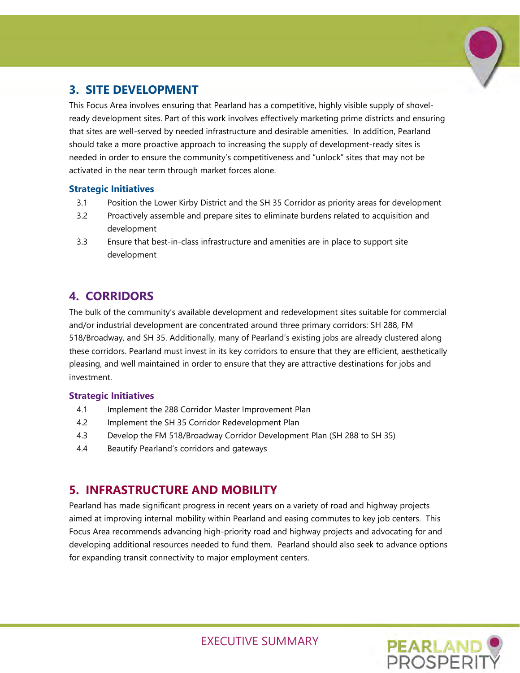

# **3. SITE DEVELOPMENT**

This Focus Area involves ensuring that Pearland has a competitive, highly visible supply of shovelready development sites. Part of this work involves effectively marketing prime districts and ensuring that sites are well-served by needed infrastructure and desirable amenities. In addition, Pearland should take a more proactive approach to increasing the supply of development-ready sites is needed in order to ensure the community's competitiveness and "unlock" sites that may not be activated in the near term through market forces alone.

#### **Strategic Initiatives**

- 3.1 Position the Lower Kirby District and the SH 35 Corridor as priority areas for development
- 3.2 Proactively assemble and prepare sites to eliminate burdens related to acquisition and development
- 3.3 Ensure that best-in-class infrastructure and amenities are in place to support site development

# **4. CORRIDORS**

The bulk of the community's available development and redevelopment sites suitable for commercial and/or industrial development are concentrated around three primary corridors: SH 288, FM 518/Broadway, and SH 35. Additionally, many of Pearland's existing jobs are already clustered along these corridors. Pearland must invest in its key corridors to ensure that they are efficient, aesthetically pleasing, and well maintained in order to ensure that they are attractive destinations for jobs and investment.

### **Strategic Initiatives**

- 4.1 Implement the 288 Corridor Master Improvement Plan
- 4.2 Implement the SH 35 Corridor Redevelopment Plan
- 4.3 Develop the FM 518/Broadway Corridor Development Plan (SH 288 to SH 35)
- 4.4 Beautify Pearland's corridors and gateways

# **5. INFRASTRUCTURE AND MOBILITY**

Pearland has made significant progress in recent years on a variety of road and highway projects aimed at improving internal mobility within Pearland and easing commutes to key job centers. This Focus Area recommends advancing high-priority road and highway projects and advocating for and developing additional resources needed to fund them. Pearland should also seek to advance options for expanding transit connectivity to major employment centers.